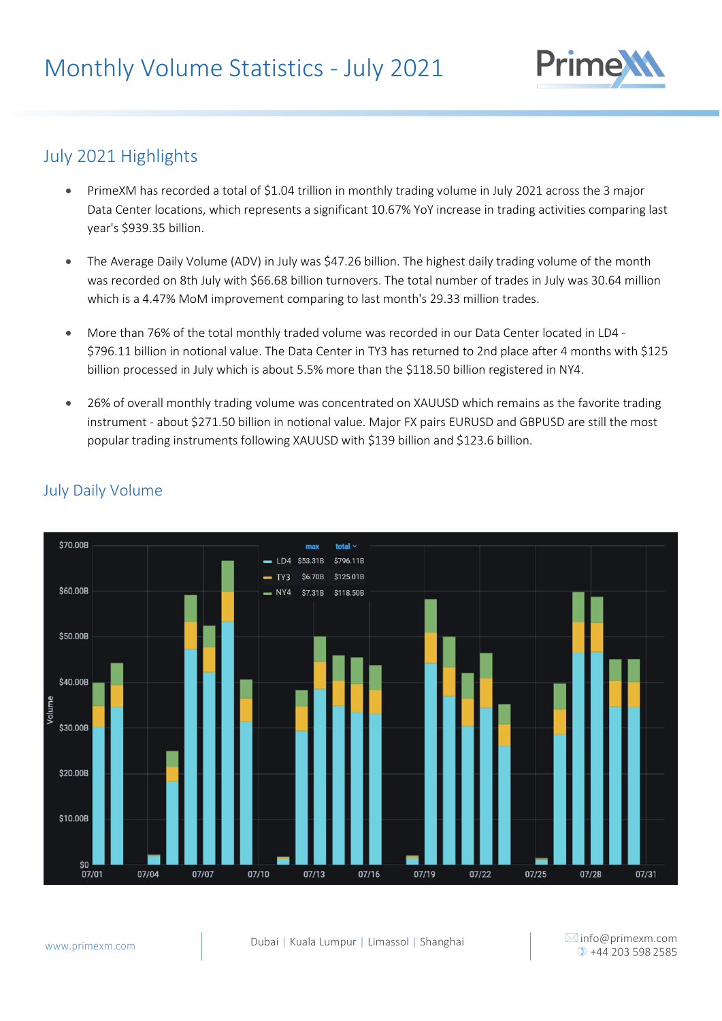

# July 2021 Highlights

- PrimeXM has recorded a total of \$1.04 trillion in monthly trading volume in July 2021 across the 3 major Data Center locations, which represents a significant 10.67% YoY increase in trading activities comparing last year's \$939.35 billion.
- The Average Daily Volume (ADV) in July was \$47.26 billion. The highest daily trading volume of the month was recorded on 8th July with \$66.68 billion turnovers. The total number of trades in July was 30.64 million which is a 4.47% MoM improvement comparing to last month's 29.33 million trades.
- More than 76% of the total monthly traded volume was recorded in our Data Center located in LD4 \$796.11 billion in notional value. The Data Center in TY3 has returned to 2nd place after 4 months with \$125 billion processed in July which is about 5.5% more than the \$118.50 billion registered in NY4.
- 26% of overall monthly trading volume was concentrated on XAUUSD which remains as the favorite trading instrument - about \$271.50 billion in notional value. Major FX pairs EURUSD and GBPUSD are still the most popular trading instruments following XAUUSD with \$139 billion and \$123.6 billion.



### July Daily Volume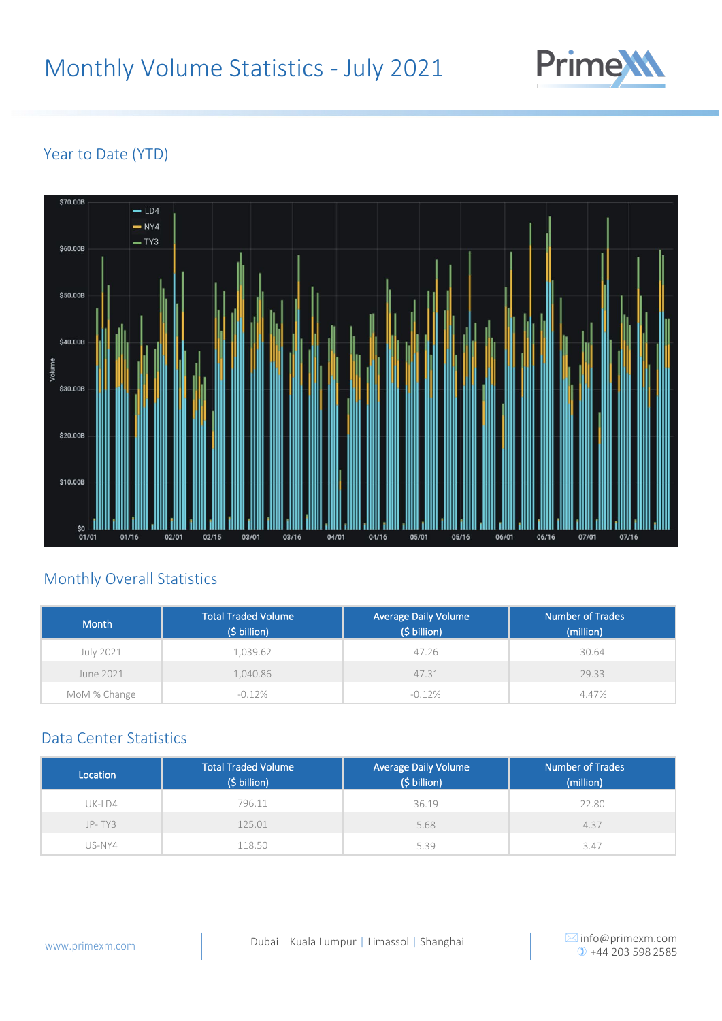

# Year to Date (YTD)



## Monthly Overall Statistics

| Month        | <b>Total Traded Volume</b><br>$(5 billion)$ | <b>Average Daily Volume</b><br>(\$ billion) | Number of Trades<br>(million) |
|--------------|---------------------------------------------|---------------------------------------------|-------------------------------|
| July 2021    | 1.039.62                                    | 47.26                                       | 30.64                         |
| June 2021    | 1,040.86                                    | 47.31                                       | 29.33                         |
| MoM % Change | $-0.12%$                                    | $-0.12\%$                                   | 4.47%                         |

### Data Center Statistics

| Location | <b>Total Traded Volume</b><br>(\$ billion) | <b>Average Daily Volume</b><br>(\$ billion) | <b>Number of Trades</b><br>(million) |
|----------|--------------------------------------------|---------------------------------------------|--------------------------------------|
| $UK-LD4$ | 796.11                                     | 36.19                                       | 22.80                                |
| $JP-TY3$ | 125.01                                     | 5.68                                        | 4.37                                 |
| US-NY4   | 18.50                                      | 5.39                                        | 3.47                                 |